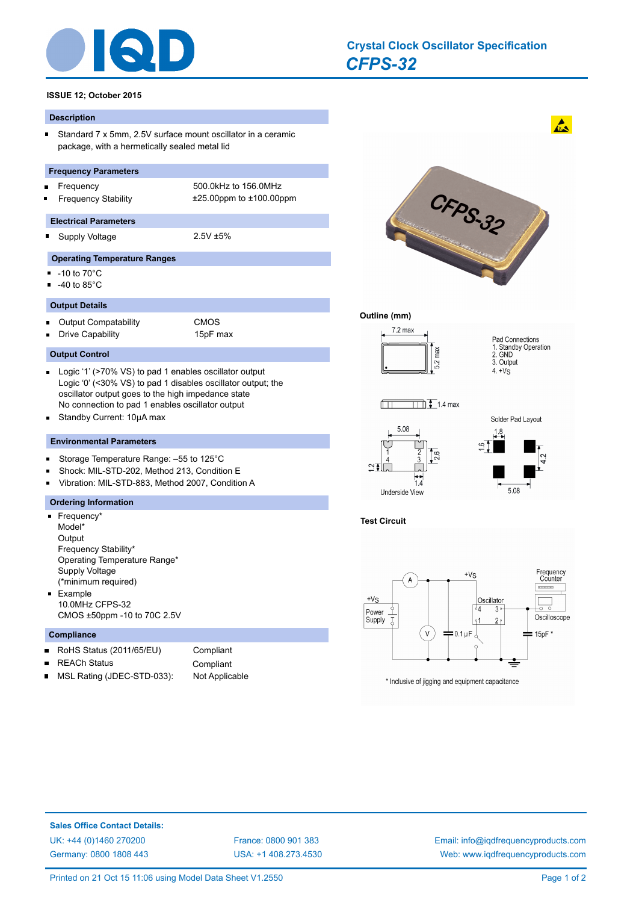

# *[CFPS-32](http://www.iqdfrequencyproducts.com/products/search/?type=crystal-clock-oscillator&model=CFPS-32)* **[Crystal Clock Oscillator Specification](http://www.iqdfrequencyproducts.com/products/search/?type=tcxo-tcvcxo&model=All&product-features=All&package=All&frequency=All&frequency-uom=MHz&frequency-stability=All&temperature-range=All&output=All&voltage=All)**

#### **ISSUE 12; October 2015**

#### **Description**

Standard 7 x 5mm, 2.5V surface mount oscillator in a ceramic  $\blacksquare$ package, with a hermetically sealed metal lid

#### **Frequency Parameters**

- 
- Frequency 500.0kHz to 156.0MHz Frequency Stability ±25.00ppm to ±100.00ppm

#### **Electrical Parameters**

- 
- 

## Supply Voltage 2.5V ±5%

- **Operating Temperature Ranges**
- -10 to 70°C  $\blacksquare$

 $\blacksquare$ 

 $-40$  to 85 $^{\circ}$ C

#### **Output Details**

Output Compatability CMOS  $\blacksquare$ Drive Capability 15pF max  $\blacksquare$ 

#### **Output Control**

- Logic '1' (>70% VS) to pad 1 enables oscillator output Logic '0' (<30% VS) to pad 1 disables oscillator output; the oscillator output goes to the high impedance state No connection to pad 1 enables oscillator output
- $\blacksquare$ Standby Current: 10μA max

#### **Environmental Parameters**

- Storage Temperature Range: –55 to 125°C  $\blacksquare$
- Shock: MIL-STD-202, Method 213, Condition E  $\blacksquare$
- Vibration: MIL-STD-883, Method 2007, Condition A  $\blacksquare$

#### **Ordering Information**

 $\blacksquare$  Frequency\* Model\* **Output** Frequency Stability\* Operating Temperature Range\* Supply Voltage (\*minimum required)  $E$ Fxample 10.0MHz CFPS-32 CMOS ±50ppm -10 to 70C 2.5V

## **Compliance**

×

- RoHS Status (2011/65/EU) Compliant  $\blacksquare$
- 
- REACh Status **Compliant** MSL Rating (JDEC-STD-033): Not Applicable

CFPS-32

 $\mathbf{A}$ 

### **Outline (mm)**

 $\sqrt{1}$ 

5.08

Underside View

 $\frac{1}{1.4}$ 



 $\overline{111}$   $\overline{1}$  1.4 max



## **Test Circuit**

∾∓∣ा



**Sales Office Contact Details:** [UK: +44 \(0\)1460 270200](http://www.iqdfrequencyproducts.co.uk) [France: 0800 901 383](http://www.iqdfrequencyproducts.fr) [Germany: 0800 1808 443](http://www.iqdfrequencyproducts.de)

[USA: +1 408.273.4530](http://www.iqdfrequencyproducts.com)

[Email: info@iqdfrequencyproducts.com](mailto:info@iqdfrequencyproducts.com) [Web: www.iqdfrequencyproducts.com](http://www.iqdfrequencyproducts.com)